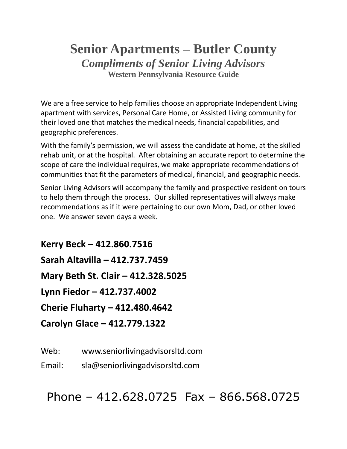# **Senior Apartments – Butler County** *Compliments of Senior Living Advisors* **Western Pennsylvania Resource Guide**

We are a free service to help families choose an appropriate Independent Living apartment with services, Personal Care Home, or Assisted Living community for their loved one that matches the medical needs, financial capabilities, and geographic preferences.

With the family's permission, we will assess the candidate at home, at the skilled rehab unit, or at the hospital. After obtaining an accurate report to determine the scope of care the individual requires, we make appropriate recommendations of communities that fit the parameters of medical, financial, and geographic needs.

Senior Living Advisors will accompany the family and prospective resident on tours to help them through the process. Our skilled representatives will always make recommendations as if it were pertaining to our own Mom, Dad, or other loved one. We answer seven days a week.

**Kerry Beck – 412.860.7516 Sarah Altavilla – 412.737.7459 Mary Beth St. Clair – 412.328.5025 Lynn Fiedor – 412.737.4002 Cherie Fluharty – 412.480.4642 Carolyn Glace – 412.779.1322**

Web: www.seniorlivingadvisorsltd.com

Email: sla@seniorlivingadvisorsltd.com

Phone – 412.628.0725 Fax – 866.568.0725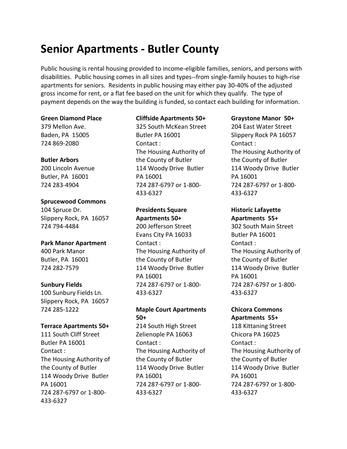# **Senior Apartments - Butler County**

Public housing is rental housing provided to income-eligible families, seniors, and persons with disabilities. Public housing comes in all sizes and types--from single-family houses to high-rise apartments for seniors. Residents in public housing may either pay 30-40% of the adjusted gross income for rent, or a flat fee based on the unit for which they qualify. The type of payment depends on the way the building is funded, so contact each building for information.

#### **Green Diamond Place**

379 Mellon Ave. Baden, PA 15005 724 869-2080

### **Butler Arbors**

200 Lincoln Avenue Butler, PA 16001 724 283-4904

# **Sprucewood Commons**

104 Spruce Dr. Slippery Rock, PA 16057 724 794-4484

### **Park Manor Apartment**

400 Park Manor Butler, PA 16001 724 282-7579

### **Sunbury Fields**

100 Sunbury Fields Ln. Slippery Rock, PA 16057 724 285-1222

### **Terrace Apartments 50+**

111 South Cliff Street Butler PA 16001 Contact : The Housing Authority of the County of Butler 114 Woody Drive Butler PA 16001 724 287-6797 or 1-800- 433-6327

# **Cliffside Apartments 50+**

325 South McKean Street Butler PA 16001 Contact : The Housing Authority of the County of Butler 114 Woody Drive Butler PA 16001 724 287-6797 or 1-800- 433-6327

# **Presidents Square Apartments 50+**

200 Jefferson Street Evans City PA 16033 Contact : The Housing Authority of the County of Butler 114 Woody Drive Butler PA 16001 724 287-6797 or 1-800- 433-6327

# **Maple Court Apartments 50+**

214 South High Street Zelienople PA 16063 Contact : The Housing Authority of the County of Butler 114 Woody Drive Butler PA 16001 724 287-6797 or 1-800- 433-6327

### **Graystone Manor 50+**

204 East Water Street Slippery Rock PA 16057 Contact : The Housing Authority of the County of Butler 114 Woody Drive Butler PA 16001 724 287-6797 or 1-800- 433-6327

# **Historic Lafayette Apartments 55+**

302 South Main Street Butler PA 16001 Contact : The Housing Authority of the County of Butler 114 Woody Drive Butler PA 16001 724 287-6797 or 1-800- 433-6327

# **Chicora Commons Apartments 55+**

118 Kittaning Street Chicora PA 16025 Contact : The Housing Authority of the County of Butler 114 Woody Drive Butler PA 16001 724 287-6797 or 1-800- 433-6327